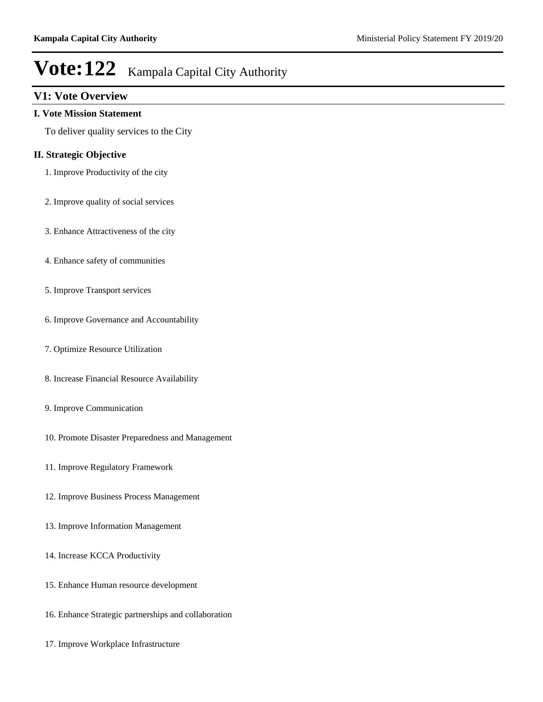### **V1: Vote Overview**

#### **I. Vote Mission Statement**

To deliver quality services to the City

### **II. Strategic Objective**

- 1. Improve Productivity of the city
- 2. Improve quality of social services
- 3. Enhance Attractiveness of the city
- 4. Enhance safety of communities
- 5. Improve Transport services
- 6. Improve Governance and Accountability
- 7. Optimize Resource Utilization
- 8. Increase Financial Resource Availability
- 9. Improve Communication
- 10. Promote Disaster Preparedness and Management
- 11. Improve Regulatory Framework
- 12. Improve Business Process Management
- 13. Improve Information Management
- 14. Increase KCCA Productivity
- 15. Enhance Human resource development
- 16. Enhance Strategic partnerships and collaboration
- 17. Improve Workplace Infrastructure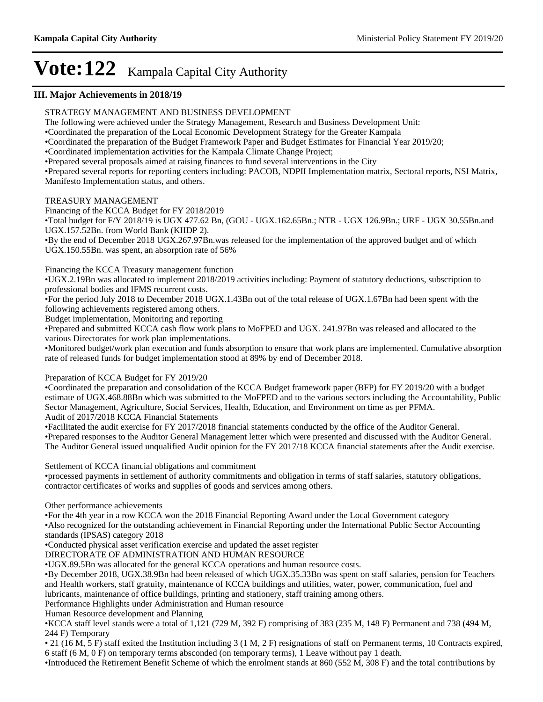### **III. Major Achievements in 2018/19**

STRATEGY MANAGEMENT AND BUSINESS DEVELOPMENT

The following were achieved under the Strategy Management, Research and Business Development Unit:

Coordinated the preparation of the Local Economic Development Strategy for the Greater Kampala

Coordinated the preparation of the Budget Framework Paper and Budget Estimates for Financial Year 2019/20;

Coordinated implementation activities for the Kampala Climate Change Project;

Prepared several proposals aimed at raising finances to fund several interventions in the City

Prepared several reports for reporting centers including: PACOB, NDPII Implementation matrix, Sectoral reports, NSI Matrix, Manifesto Implementation status, and others.

#### TREASURY MANAGEMENT

Financing of the KCCA Budget for FY 2018/2019

Total budget for F/Y 2018/19 is UGX 477.62 Bn, (GOU - UGX.162.65Bn.; NTR - UGX 126.9Bn.; URF - UGX 30.55Bn.and UGX.157.52Bn. from World Bank (KIIDP 2).

By the end of December 2018 UGX.267.97Bn.was released for the implementation of the approved budget and of which UGX.150.55Bn. was spent, an absorption rate of 56%

Financing the KCCA Treasury management function

UGX.2.19Bn was allocated to implement 2018/2019 activities including: Payment of statutory deductions, subscription to professional bodies and IFMS recurrent costs.

For the period July 2018 to December 2018 UGX.1.43Bn out of the total release of UGX.1.67Bn had been spent with the following achievements registered among others.

Budget implementation, Monitoring and reporting

Prepared and submitted KCCA cash flow work plans to MoFPED and UGX. 241.97Bn was released and allocated to the various Directorates for work plan implementations.

Monitored budget/work plan execution and funds absorption to ensure that work plans are implemented. Cumulative absorption rate of released funds for budget implementation stood at 89% by end of December 2018.

Preparation of KCCA Budget for FY 2019/20

Coordinated the preparation and consolidation of the KCCA Budget framework paper (BFP) for FY 2019/20 with a budget estimate of UGX.468.88Bn which was submitted to the MoFPED and to the various sectors including the Accountability, Public Sector Management, Agriculture, Social Services, Health, Education, and Environment on time as per PFMA. Audit of 2017/2018 KCCA Financial Statements

Facilitated the audit exercise for FY 2017/2018 financial statements conducted by the office of the Auditor General. Prepared responses to the Auditor General Management letter which were presented and discussed with the Auditor General. The Auditor General issued unqualified Audit opinion for the FY 2017/18 KCCA financial statements after the Audit exercise.

Settlement of KCCA financial obligations and commitment

processed payments in settlement of authority commitments and obligation in terms of staff salaries, statutory obligations, contractor certificates of works and supplies of goods and services among others.

Other performance achievements

For the 4th year in a row KCCA won the 2018 Financial Reporting Award under the Local Government category Also recognized for the outstanding achievement in Financial Reporting under the International Public Sector Accounting

standards (IPSAS) category 2018

Conducted physical asset verification exercise and updated the asset register

DIRECTORATE OF ADMINISTRATION AND HUMAN RESOURCE

UGX.89.5Bn was allocated for the general KCCA operations and human resource costs.

By December 2018, UGX.38.9Bn had been released of which UGX.35.33Bn was spent on staff salaries, pension for Teachers and Health workers, staff gratuity, maintenance of KCCA buildings and utilities, water, power, communication, fuel and lubricants, maintenance of office buildings, printing and stationery, staff training among others.

Performance Highlights under Administration and Human resource

Human Resource development and Planning

KCCA staff level stands were a total of 1,121 (729 M, 392 F) comprising of 383 (235 M, 148 F) Permanent and 738 (494 M, 244 F) Temporary

21 (16 M, 5 F) staff exited the Institution including 3 (1 M, 2 F) resignations of staff on Permanent terms, 10 Contracts expired, 6 staff (6 M, 0 F) on temporary terms absconded (on temporary terms), 1 Leave without pay 1 death.

Introduced the Retirement Benefit Scheme of which the enrolment stands at 860 (552 M, 308 F) and the total contributions by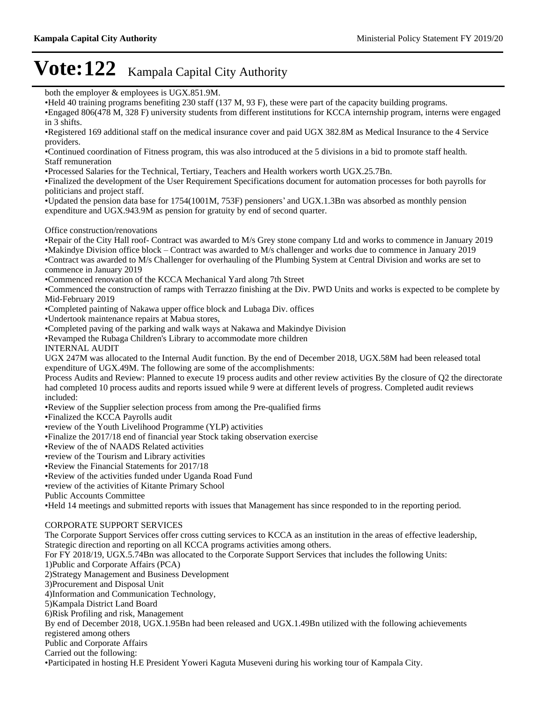both the employer & employees is UGX.851.9M. Held 40 training programs benefiting 230 staff (137 M, 93 F), these were part of the capacity building programs. Engaged 806(478 M, 328 F) university students from different institutions for KCCA internship program, interns were engaged in 3 shifts. Registered 169 additional staff on the medical insurance cover and paid UGX 382.8M as Medical Insurance to the 4 Service providers. Continued coordination of Fitness program, this was also introduced at the 5 divisions in a bid to promote staff health. Staff remuneration Processed Salaries for the Technical, Tertiary, Teachers and Health workers worth UGX.25.7Bn. Finalized the development of the User Requirement Specifications document for automation processes for both payrolls for politicians and project staff.  $\cdot$ Updated the pension data base for 1754(1001M, 753F) pensioners' and UGX.1.3Bn was absorbed as monthly pension expenditure and UGX.943.9M as pension for gratuity by end of second quarter. Office construction/renovations Repair of the City Hall roof- Contract was awarded to M/s Grey stone company Ltd and works to commence in January 2019 •Makindye Division office block – Contract was awarded to M/s challenger and works due to commence in January 2019 Contract was awarded to M/s Challenger for overhauling of the Plumbing System at Central Division and works are set to commence in January 2019 Commenced renovation of the KCCA Mechanical Yard along 7th Street Commenced the construction of ramps with Terrazzo finishing at the Div. PWD Units and works is expected to be complete by Mid-February 2019 Completed painting of Nakawa upper office block and Lubaga Div. offices Undertook maintenance repairs at Mabua stores, Completed paving of the parking and walk ways at Nakawa and Makindye Division Revamped the Rubaga Children's Library to accommodate more children INTERNAL AUDIT UGX 247M was allocated to the Internal Audit function. By the end of December 2018, UGX.58M had been released total expenditure of UGX.49M. The following are some of the accomplishments: Process Audits and Review: Planned to execute 19 process audits and other review activities By the closure of Q2 the directorate had completed 10 process audits and reports issued while 9 were at different levels of progress. Completed audit reviews included: Review of the Supplier selection process from among the Pre-qualified firms Finalized the KCCA Payrolls audit review of the Youth Livelihood Programme (YLP) activities Finalize the 2017/18 end of financial year Stock taking observation exercise Review of the of NAADS Related activities review of the Tourism and Library activities Review the Financial Statements for 2017/18 Review of the activities funded under Uganda Road Fund review of the activities of Kitante Primary School Public Accounts Committee Held 14 meetings and submitted reports with issues that Management has since responded to in the reporting period. CORPORATE SUPPORT SERVICES The Corporate Support Services offer cross cutting services to KCCA as an institution in the areas of effective leadership, Strategic direction and reporting on all KCCA programs activities among others. For FY 2018/19, UGX.5.74Bn was allocated to the Corporate Support Services that includes the following Units: 1)Public and Corporate Affairs (PCA) 2)Strategy Management and Business Development 3)Procurement and Disposal Unit 4)Information and Communication Technology, 5)Kampala District Land Board 6)Risk Profiling and risk, Management By end of December 2018, UGX.1.95Bn had been released and UGX.1.49Bn utilized with the following achievements registered among others Public and Corporate Affairs Carried out the following: Participated in hosting H.E President Yoweri Kaguta Museveni during his working tour of Kampala City.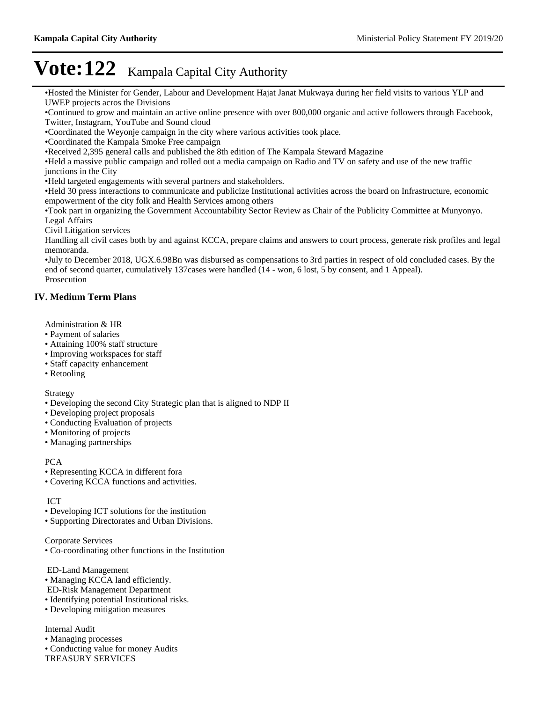Hosted the Minister for Gender, Labour and Development Hajat Janat Mukwaya during her field visits to various YLP and UWEP projects acros the Divisions

Continued to grow and maintain an active online presence with over 800,000 organic and active followers through Facebook, Twitter, Instagram, YouTube and Sound cloud

Coordinated the Weyonje campaign in the city where various activities took place.

Coordinated the Kampala Smoke Free campaign

Received 2,395 general calls and published the 8th edition of The Kampala Steward Magazine

Held a massive public campaign and rolled out a media campaign on Radio and TV on safety and use of the new traffic junctions in the City

Held targeted engagements with several partners and stakeholders.

Held 30 press interactions to communicate and publicize Institutional activities across the board on Infrastructure, economic empowerment of the city folk and Health Services among others

Took part in organizing the Government Accountability Sector Review as Chair of the Publicity Committee at Munyonyo. Legal Affairs

Civil Litigation services

Handling all civil cases both by and against KCCA, prepare claims and answers to court process, generate risk profiles and legal memoranda.

July to December 2018, UGX.6.98Bn was disbursed as compensations to 3rd parties in respect of old concluded cases. By the end of second quarter, cumulatively 137cases were handled (14 - won, 6 lost, 5 by consent, and 1 Appeal). Prosecution

### **IV. Medium Term Plans**

Administration & HR

- Payment of salaries
- Attaining 100% staff structure
- Improving workspaces for staff
- Staff capacity enhancement
- Retooling

Strategy

- Developing the second City Strategic plan that is aligned to NDP II
- Developing project proposals
- Conducting Evaluation of projects
- Monitoring of projects
- Managing partnerships

#### PCA

- Representing KCCA in different fora
- Covering KCCA functions and activities.

#### ICT

- Developing ICT solutions for the institution
- Supporting Directorates and Urban Divisions.

Corporate Services

Co-coordinating other functions in the Institution

ED-Land Management

- Managing KCCA land efficiently.
- ED-Risk Management Department
- Identifying potential Institutional risks.
- Developing mitigation measures

Internal Audit

- Managing processes
- Conducting value for money Audits

TREASURY SERVICES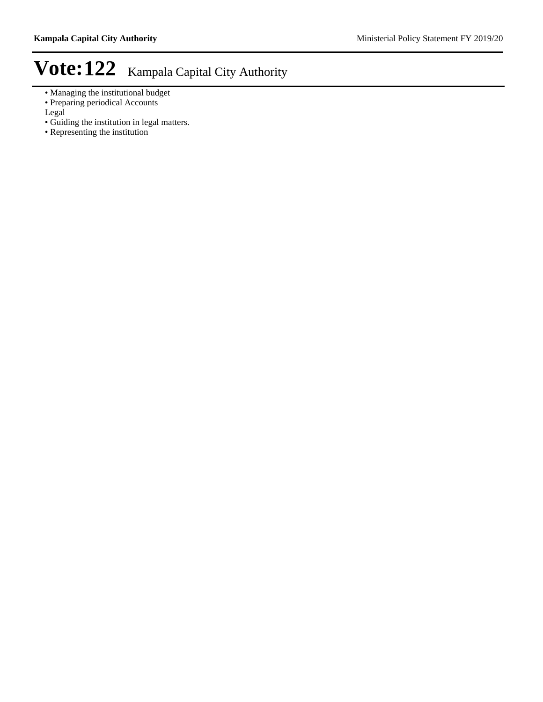- Managing the institutional budget
- Preparing periodical Accounts
- Legal
- Guiding the institution in legal matters.
- Representing the institution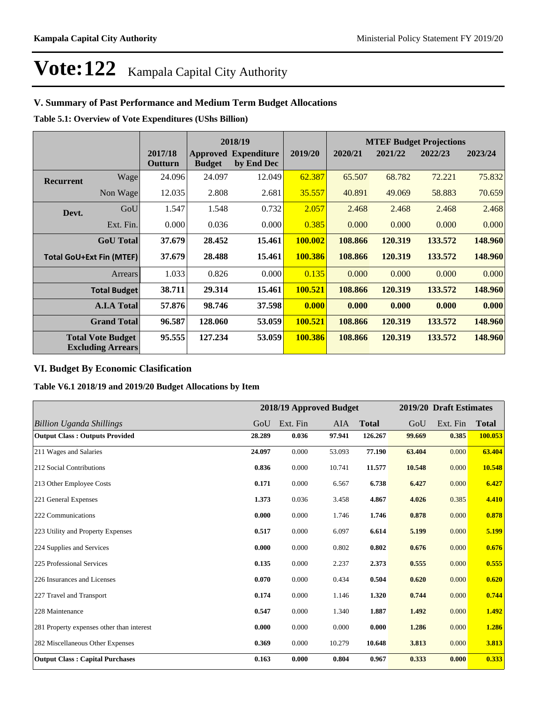### **V. Summary of Past Performance and Medium Term Budget Allocations**

**Table 5.1: Overview of Vote Expenditures (UShs Billion)**

|                                 |                                                      |                    |                                  | 2018/19                          |         | <b>MTEF Budget Projections</b> |         |         |         |
|---------------------------------|------------------------------------------------------|--------------------|----------------------------------|----------------------------------|---------|--------------------------------|---------|---------|---------|
|                                 |                                                      | 2017/18<br>Outturn | <b>Approved</b><br><b>Budget</b> | <b>Expenditure</b><br>by End Dec | 2019/20 | 2020/21                        | 2021/22 | 2022/23 | 2023/24 |
| <b>Recurrent</b>                | Wage                                                 | 24.096             | 24.097                           | 12.049                           | 62.387  | 65.507                         | 68.782  | 72.221  | 75.832  |
|                                 | Non Wage                                             | 12.035             | 2.808                            | 2.681                            | 35.557  | 40.891                         | 49.069  | 58.883  | 70.659  |
| Devt.                           | GoU                                                  | 1.547              | 1.548                            | 0.732                            | 2.057   | 2.468                          | 2.468   | 2.468   | 2.468   |
|                                 | Ext. Fin.                                            | 0.000              | 0.036                            | 0.000                            | 0.385   | 0.000                          | 0.000   | 0.000   | 0.000   |
|                                 | <b>GoU</b> Total                                     | 37.679             | 28.452                           | 15.461                           | 100.002 | 108.866                        | 120.319 | 133.572 | 148.960 |
| <b>Total GoU+Ext Fin (MTEF)</b> |                                                      | 37.679             | 28.488                           | 15.461                           | 100.386 | 108.866                        | 120.319 | 133.572 | 148.960 |
|                                 | Arrears                                              | 1.033              | 0.826                            | 0.000                            | 0.135   | 0.000                          | 0.000   | 0.000   | 0.000   |
|                                 | <b>Total Budget</b>                                  | 38.711             | 29.314                           | 15.461                           | 100.521 | 108.866                        | 120.319 | 133.572 | 148.960 |
|                                 | <b>A.I.A Total</b>                                   | 57.876             | 98.746                           | 37.598                           | 0.000   | 0.000                          | 0.000   | 0.000   | 0.000   |
|                                 | <b>Grand Total</b>                                   | 96.587             | 128.060                          | 53.059                           | 100.521 | 108.866                        | 120.319 | 133.572 | 148.960 |
|                                 | <b>Total Vote Budget</b><br><b>Excluding Arrears</b> | 95.555             | 127.234                          | 53.059                           | 100.386 | 108.866                        | 120.319 | 133.572 | 148.960 |

### **VI. Budget By Economic Clasification**

**Table V6.1 2018/19 and 2019/20 Budget Allocations by Item**

|                                           | 2018/19 Approved Budget |          |        | 2019/20 Draft Estimates |        |          |              |
|-------------------------------------------|-------------------------|----------|--------|-------------------------|--------|----------|--------------|
| <b>Billion Uganda Shillings</b>           | GoU                     | Ext. Fin | AIA    | <b>Total</b>            | GoU    | Ext. Fin | <b>Total</b> |
| <b>Output Class: Outputs Provided</b>     | 28.289                  | 0.036    | 97.941 | 126.267                 | 99.669 | 0.385    | 100.053      |
| 211 Wages and Salaries                    | 24.097                  | 0.000    | 53.093 | 77.190                  | 63.404 | 0.000    | 63.404       |
| 212 Social Contributions                  | 0.836                   | 0.000    | 10.741 | 11.577                  | 10.548 | 0.000    | 10.548       |
| 213 Other Employee Costs                  | 0.171                   | 0.000    | 6.567  | 6.738                   | 6.427  | 0.000    | 6.427        |
| 221 General Expenses                      | 1.373                   | 0.036    | 3.458  | 4.867                   | 4.026  | 0.385    | 4.410        |
| 222 Communications                        | 0.000                   | 0.000    | 1.746  | 1.746                   | 0.878  | 0.000    | 0.878        |
| 223 Utility and Property Expenses         | 0.517                   | 0.000    | 6.097  | 6.614                   | 5.199  | 0.000    | 5.199        |
| 224 Supplies and Services                 | 0.000                   | 0.000    | 0.802  | 0.802                   | 0.676  | 0.000    | 0.676        |
| 225 Professional Services                 | 0.135                   | 0.000    | 2.237  | 2.373                   | 0.555  | 0.000    | 0.555        |
| 226 Insurances and Licenses               | 0.070                   | 0.000    | 0.434  | 0.504                   | 0.620  | 0.000    | 0.620        |
| 227 Travel and Transport                  | 0.174                   | 0.000    | 1.146  | 1.320                   | 0.744  | 0.000    | 0.744        |
| 228 Maintenance                           | 0.547                   | 0.000    | 1.340  | 1.887                   | 1.492  | 0.000    | 1.492        |
| 281 Property expenses other than interest | 0.000                   | 0.000    | 0.000  | 0.000                   | 1.286  | 0.000    | 1.286        |
| 282 Miscellaneous Other Expenses          | 0.369                   | 0.000    | 10.279 | 10.648                  | 3.813  | 0.000    | 3.813        |
| <b>Output Class: Capital Purchases</b>    | 0.163                   | 0.000    | 0.804  | 0.967                   | 0.333  | 0.000    | 0.333        |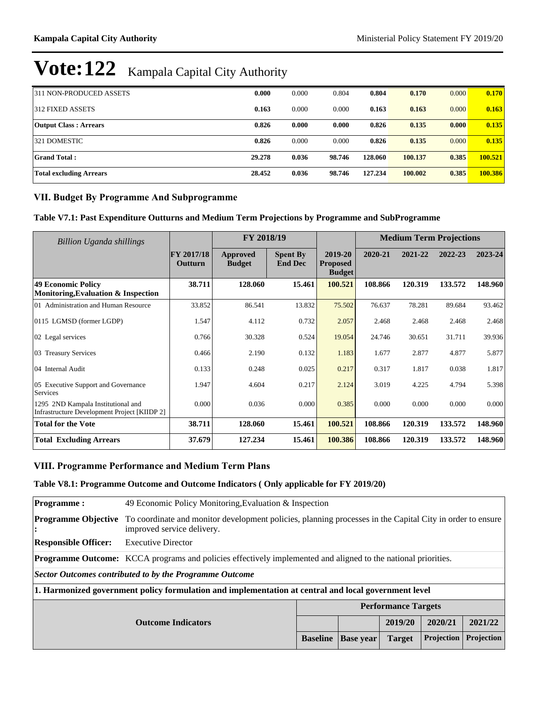| 311 NON-PRODUCED ASSETS        | 0.000  | 0.000 | 0.804  | 0.804   | 0.170   | 0.000 | 0.170   |
|--------------------------------|--------|-------|--------|---------|---------|-------|---------|
| 1312 FIXED ASSETS              | 0.163  | 0.000 | 0.000  | 0.163   | 0.163   | 0.000 | 0.163   |
| <b>Output Class: Arrears</b>   | 0.826  | 0.000 | 0.000  | 0.826   | 0.135   | 0.000 | 0.135   |
| 321 DOMESTIC                   | 0.826  | 0.000 | 0.000  | 0.826   | 0.135   | 0.000 | 0.135   |
| Grand Total :                  | 29.278 | 0.036 | 98.746 | 128.060 | 100.137 | 0.385 | 100.521 |
| <b>Total excluding Arrears</b> | 28.452 | 0.036 | 98.746 | 127.234 | 100.002 | 0.385 | 100.386 |

### **VII. Budget By Programme And Subprogramme**

**Table V7.1: Past Expenditure Outturns and Medium Term Projections by Programme and SubProgramme**

| Billion Uganda shillings                                                                  |                              | FY 2018/19                |                                   |                                             | <b>Medium Term Projections</b> |         |         |         |
|-------------------------------------------------------------------------------------------|------------------------------|---------------------------|-----------------------------------|---------------------------------------------|--------------------------------|---------|---------|---------|
|                                                                                           | <b>FY 2017/18</b><br>Outturn | Approved<br><b>Budget</b> | <b>Spent By</b><br><b>End Dec</b> | 2019-20<br><b>Proposed</b><br><b>Budget</b> | 2020-21                        | 2021-22 | 2022-23 | 2023-24 |
| <b>49 Economic Policy</b><br>Monitoring, Evaluation & Inspection                          | 38.711                       | 128.060                   | 15.461                            | 100.521                                     | 108.866                        | 120.319 | 133.572 | 148.960 |
| 01 Administration and Human Resource                                                      | 33.852                       | 86.541                    | 13.832                            | 75.502                                      | 76.637                         | 78.281  | 89.684  | 93.462  |
| 0115 LGMSD (former LGDP)                                                                  | 1.547                        | 4.112                     | 0.732                             | 2.057                                       | 2.468                          | 2.468   | 2.468   | 2.468   |
| 02 Legal services                                                                         | 0.766                        | 30.328                    | 0.524                             | 19.054                                      | 24.746                         | 30.651  | 31.711  | 39.936  |
| 03 Treasury Services                                                                      | 0.466                        | 2.190                     | 0.132                             | 1.183                                       | 1.677                          | 2.877   | 4.877   | 5.877   |
| 04 Internal Audit                                                                         | 0.133                        | 0.248                     | 0.025                             | 0.217                                       | 0.317                          | 1.817   | 0.038   | 1.817   |
| 05 Executive Support and Governance<br>Services                                           | 1.947                        | 4.604                     | 0.217                             | 2.124                                       | 3.019                          | 4.225   | 4.794   | 5.398   |
| 1295 2ND Kampala Institutional and<br><b>Infrastructure Development Project [KIIDP 2]</b> | 0.000                        | 0.036                     | 0.000                             | 0.385                                       | 0.000                          | 0.000   | 0.000   | 0.000   |
| <b>Total for the Vote</b>                                                                 | 38.711                       | 128.060                   | 15.461                            | 100.521                                     | 108.866                        | 120.319 | 133.572 | 148.960 |
| <b>Total Excluding Arrears</b>                                                            | 37.679                       | 127.234                   | 15.461                            | 100.386                                     | 108.866                        | 120.319 | 133.572 | 148.960 |

### **VIII. Programme Performance and Medium Term Plans**

### **Table V8.1: Programme Outcome and Outcome Indicators ( Only applicable for FY 2019/20)**

| <b>Programme:</b>                                                                                                    | 49 Economic Policy Monitoring, Evaluation & Inspection                                                                                  |                 |                  |               |                   |            |  |  |  |
|----------------------------------------------------------------------------------------------------------------------|-----------------------------------------------------------------------------------------------------------------------------------------|-----------------|------------------|---------------|-------------------|------------|--|--|--|
| <b>Programme Objective</b><br>$\ddot{\cdot}$                                                                         | To coordinate and monitor development policies, planning processes in the Capital City in order to ensure<br>improved service delivery. |                 |                  |               |                   |            |  |  |  |
| <b>Responsible Officer:</b>                                                                                          | <b>Executive Director</b>                                                                                                               |                 |                  |               |                   |            |  |  |  |
| <b>Programme Outcome:</b> KCCA programs and policies effectively implemented and aligned to the national priorities. |                                                                                                                                         |                 |                  |               |                   |            |  |  |  |
| Sector Outcomes contributed to by the Programme Outcome                                                              |                                                                                                                                         |                 |                  |               |                   |            |  |  |  |
| 1. Harmonized government policy formulation and implementation at central and local government level                 |                                                                                                                                         |                 |                  |               |                   |            |  |  |  |
| <b>Performance Targets</b>                                                                                           |                                                                                                                                         |                 |                  |               |                   |            |  |  |  |
| 2019/20<br>2020/21<br>2021/22<br><b>Outcome Indicators</b>                                                           |                                                                                                                                         |                 |                  |               |                   |            |  |  |  |
|                                                                                                                      |                                                                                                                                         | <b>Baseline</b> | <b>Base year</b> | <b>Target</b> | <b>Projection</b> | Projection |  |  |  |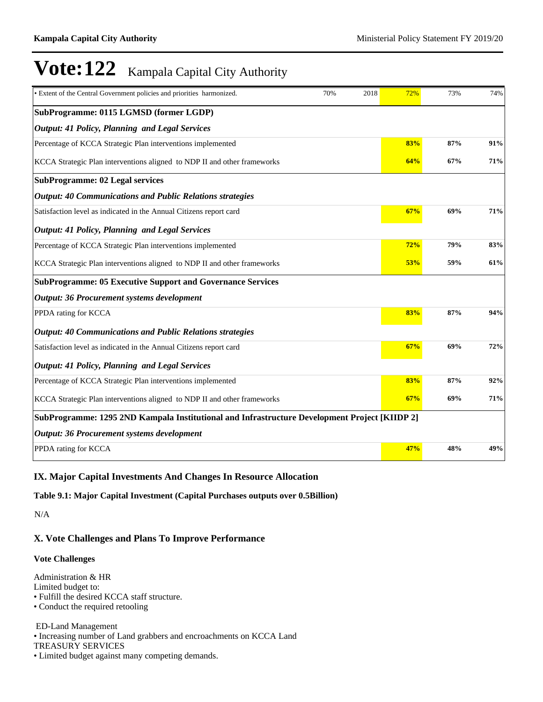| • Extent of the Central Government policies and priorities harmonized.                        | 70% | 2018 | 72% | 73% | 74% |
|-----------------------------------------------------------------------------------------------|-----|------|-----|-----|-----|
| SubProgramme: 0115 LGMSD (former LGDP)                                                        |     |      |     |     |     |
| <b>Output: 41 Policy, Planning and Legal Services</b>                                         |     |      |     |     |     |
| Percentage of KCCA Strategic Plan interventions implemented                                   |     |      | 83% | 87% | 91% |
| KCCA Strategic Plan interventions aligned to NDP II and other frameworks                      |     |      | 64% | 67% | 71% |
| <b>SubProgramme: 02 Legal services</b>                                                        |     |      |     |     |     |
| <b>Output: 40 Communications and Public Relations strategies</b>                              |     |      |     |     |     |
| Satisfaction level as indicated in the Annual Citizens report card                            |     |      | 67% | 69% | 71% |
| <b>Output: 41 Policy, Planning and Legal Services</b>                                         |     |      |     |     |     |
| Percentage of KCCA Strategic Plan interventions implemented                                   |     |      | 72% | 79% | 83% |
| KCCA Strategic Plan interventions aligned to NDP II and other frameworks                      |     |      | 53% | 59% | 61% |
| <b>SubProgramme: 05 Executive Support and Governance Services</b>                             |     |      |     |     |     |
| Output: 36 Procurement systems development                                                    |     |      |     |     |     |
| PPDA rating for KCCA                                                                          |     |      | 83% | 87% | 94% |
| <b>Output: 40 Communications and Public Relations strategies</b>                              |     |      |     |     |     |
| Satisfaction level as indicated in the Annual Citizens report card                            |     |      | 67% | 69% | 72% |
| <b>Output: 41 Policy, Planning and Legal Services</b>                                         |     |      |     |     |     |
| Percentage of KCCA Strategic Plan interventions implemented                                   |     |      | 83% | 87% | 92% |
| KCCA Strategic Plan interventions aligned to NDP II and other frameworks                      |     |      | 67% | 69% | 71% |
| SubProgramme: 1295 2ND Kampala Institutional and Infrastructure Development Project [KIIDP 2] |     |      |     |     |     |
| <b>Output: 36 Procurement systems development</b>                                             |     |      |     |     |     |
| PPDA rating for KCCA                                                                          |     |      | 47% | 48% | 49% |

### **IX. Major Capital Investments And Changes In Resource Allocation**

**Table 9.1: Major Capital Investment (Capital Purchases outputs over 0.5Billion)**

N/A

### **X. Vote Challenges and Plans To Improve Performance**

#### **Vote Challenges**

Administration & HR Limited budget to:

Fulfill the desired KCCA staff structure.

Conduct the required retooling

ED-Land Management

Increasing number of Land grabbers and encroachments on KCCA Land

TREASURY SERVICES

Limited budget against many competing demands.